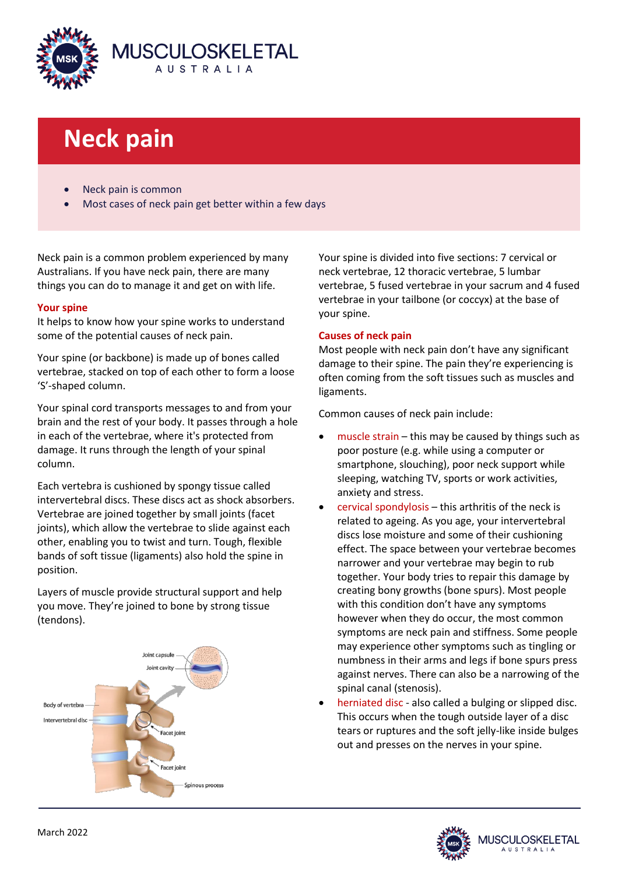

# **Neck pain**

- Neck pain is common
- Most cases of neck pain get better within a few days

Neck pain is a common problem experienced by many Australians. If you have neck pain, there are many things you can do to manage it and get on with life.

## **Your spine**

It helps to know how your spine works to understand some of the potential causes of neck pain.

Your spine (or backbone) is made up of bones called vertebrae, stacked on top of each other to form a loose 'S'-shaped column.

Your spinal cord transports messages to and from your brain and the rest of your body. It passes through a hole in each of the vertebrae, where it's protected from damage. It runs through the length of your spinal column.

Each vertebra is cushioned by spongy tissue called intervertebral discs. These discs act as shock absorbers. Vertebrae are joined together by small joints (facet joints), which allow the vertebrae to slide against each other, enabling you to twist and turn. Tough, flexible bands of soft tissue (ligaments) also hold the spine in position.

Layers of muscle provide structural support and help you move. They're joined to bone by strong tissue (tendons).



Your spine is divided into five sections: 7 cervical or neck vertebrae, 12 thoracic vertebrae, 5 lumbar vertebrae, 5 fused vertebrae in your sacrum and 4 fused vertebrae in your tailbone (or coccyx) at the base of your spine.

## **Causes of neck pain**

Most people with neck pain don't have any significant damage to their spine. The pain they're experiencing is often coming from the soft tissues such as muscles and ligaments.

Common causes of neck pain include:

- muscle strain this may be caused by things such as poor posture (e.g. while using a computer or smartphone, slouching), poor neck support while sleeping, watching TV, sports or work activities, anxiety and stress.
- cervical spondylosis this arthritis of the neck is related to ageing. As you age, your intervertebral discs lose moisture and some of their cushioning effect. The space between your vertebrae becomes narrower and your vertebrae may begin to rub together. Your body tries to repair this damage by creating bony growths (bone spurs). Most people with this condition don't have any symptoms however when they do occur, the most common symptoms are neck pain and stiffness. Some people may experience other symptoms such as tingling or numbness in their arms and legs if bone spurs press against nerves. There can also be a narrowing of the spinal canal (stenosis).
- herniated disc also called a bulging or slipped disc. This occurs when the tough outside layer of a disc tears or ruptures and the soft jelly-like inside bulges out and presses on the nerves in your spine.

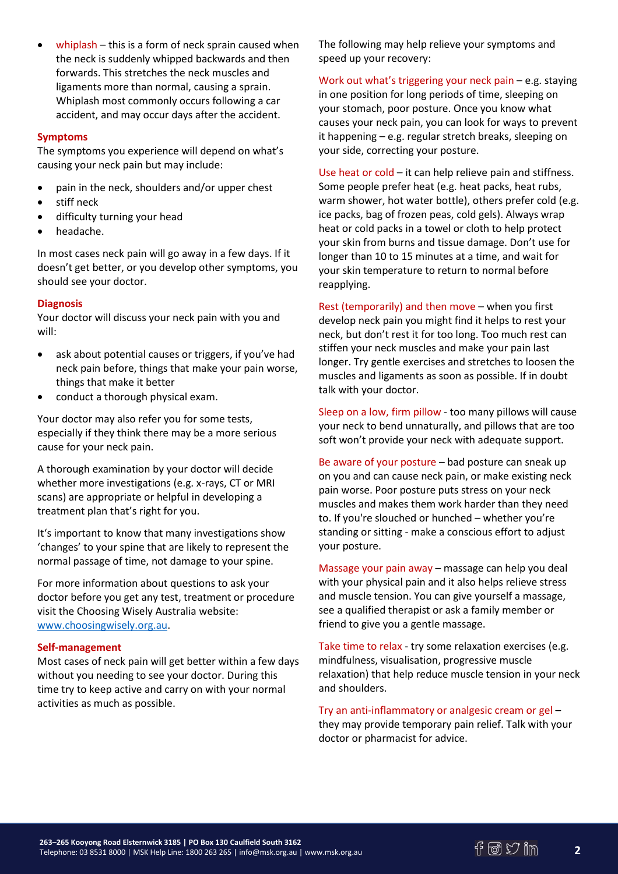whiplash – this is a form of neck sprain caused when the neck is suddenly whipped backwards and then forwards. This stretches the neck muscles and ligaments more than normal, causing a sprain. Whiplash most commonly occurs following a car accident, and may occur days after the accident.

## **Symptoms**

The symptoms you experience will depend on what's causing your neck pain but may include:

- pain in the neck, shoulders and/or upper chest
- stiff neck
- difficulty turning your head
- headache.

In most cases neck pain will go away in a few days. If it doesn't get better, or you develop other symptoms, you should see your doctor.

### **Diagnosis**

Your doctor will discuss your neck pain with you and will:

- ask about potential causes or triggers, if you've had neck pain before, things that make your pain worse, things that make it better
- conduct a thorough physical exam.

Your doctor may also refer you for some tests, especially if they think there may be a more serious cause for your neck pain.

A thorough examination by your doctor will decide whether more investigations (e.g. x-rays, CT or MRI scans) are appropriate or helpful in developing a treatment plan that's right for you.

It's important to know that many investigations show 'changes' to your spine that are likely to represent the normal passage of time, not damage to your spine.

For more information about questions to ask your doctor before you get any test, treatment or procedure visit the Choosing Wisely Australia website: [www.choosingwisely.org.au.](http://www.choosingwisely.org.au/)

### **Self-management**

Most cases of neck pain will get better within a few days without you needing to see your doctor. During this time try to keep active and carry on with your normal activities as much as possible.

The following may help relieve your symptoms and speed up your recovery:

Work out what's triggering your neck pain – e.g. staying in one position for long periods of time, sleeping on your stomach, poor posture. Once you know what causes your neck pain, you can look for ways to prevent it happening – e.g. regular stretch breaks, sleeping on your side, correcting your posture.

Use heat or cold – it can help relieve pain and stiffness. Some people prefer heat (e.g. heat packs, heat rubs, warm shower, hot water bottle), others prefer cold (e.g. ice packs, bag of frozen peas, cold gels). Always wrap heat or cold packs in a towel or cloth to help protect your skin from burns and tissue damage. Don't use for longer than 10 to 15 minutes at a time, and wait for your skin temperature to return to normal before reapplying.

Rest (temporarily) and then move – when you first develop neck pain you might find it helps to rest your neck, but don't rest it for too long. Too much rest can stiffen your neck muscles and make your pain last longer. Try gentle exercises and stretches to loosen the muscles and ligaments as soon as possible. If in doubt talk with your doctor.

Sleep on a low, firm pillow - too many pillows will cause your neck to bend unnaturally, and pillows that are too soft won't provide your neck with adequate support.

Be aware of your posture – bad posture can sneak up on you and can cause neck pain, or make existing neck pain worse. Poor posture puts stress on your neck muscles and makes them work harder than they need to. If you're slouched or hunched – whether you're standing or sitting - make a conscious effort to adjust your posture.

Massage your pain away – massage can help you deal with your physical pain and it also helps relieve stress and muscle tension. You can give yourself a massage, see a qualified therapist or ask a family member or friend to give you a gentle massage.

Take time to relax - try some relaxation exercises (e.g. mindfulness, visualisation, progressive muscle relaxation) that help reduce muscle tension in your neck and shoulders.

Try an anti-inflammatory or analgesic cream or gel – they may provide temporary pain relief. Talk with your doctor or pharmacist for advice.

**2**